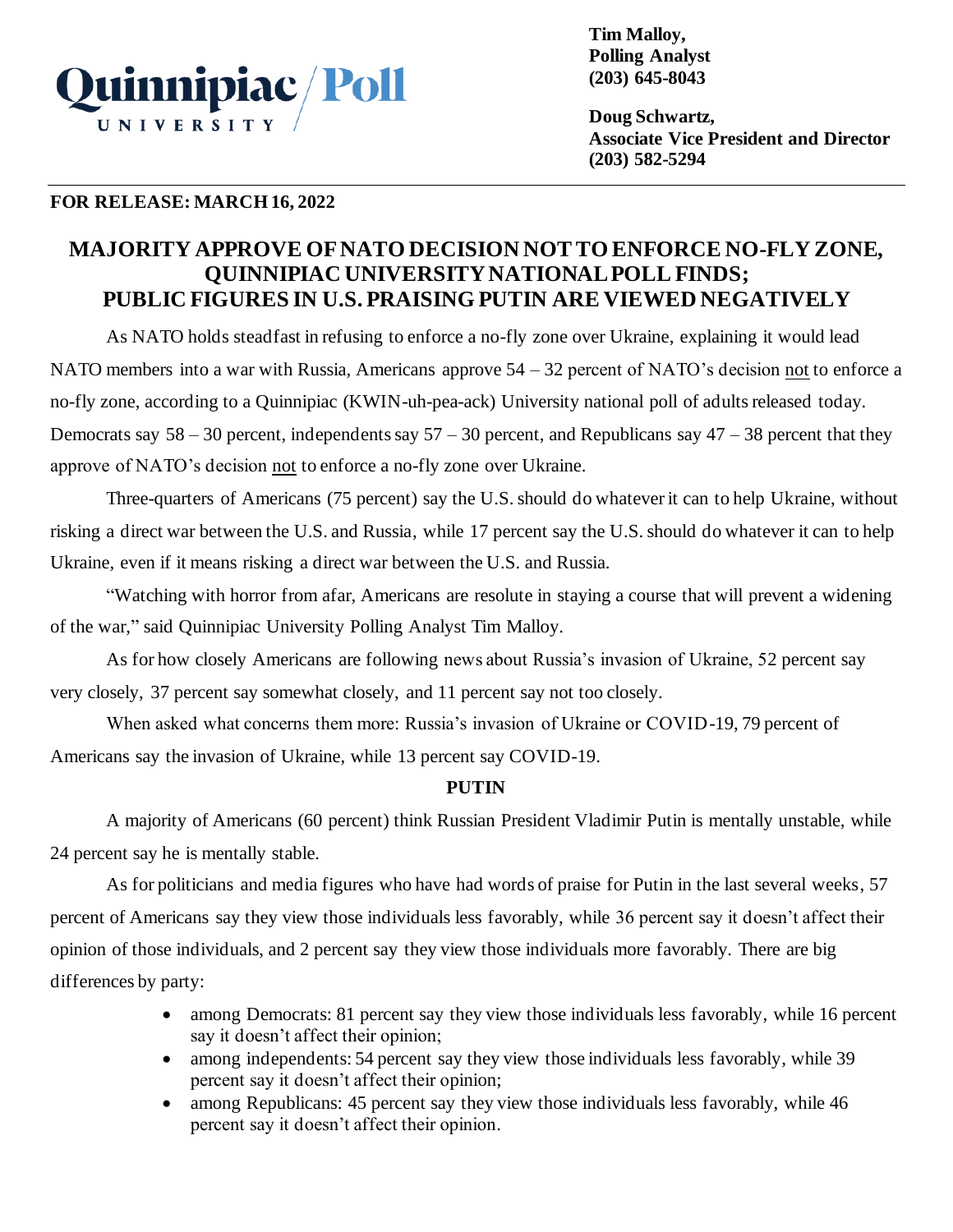

**Tim Malloy, Polling Analyst (203) 645-8043**

**Doug Schwartz, Associate Vice President and Director (203) 582-5294**

# **FOR RELEASE: MARCH 16, 2022**

# **MAJORITY APPROVE OFNATO DECISION NOT TO ENFORCE NO-FLY ZONE, QUINNIPIAC UNIVERSITY NATIONAL POLL FINDS; PUBLIC FIGURES IN U.S. PRAISING PUTIN ARE VIEWED NEGATIVELY**

As NATO holds steadfast in refusing to enforce a no-fly zone over Ukraine, explaining it would lead NATO members into a war with Russia, Americans approve 54 – 32 percent of NATO's decision not to enforce a no-fly zone, according to a Quinnipiac (KWIN-uh-pea-ack) University national poll of adults released today. Democrats say  $58 - 30$  percent, independents say  $57 - 30$  percent, and Republicans say  $47 - 38$  percent that they approve of NATO's decision not to enforce a no-fly zone over Ukraine.

Three-quarters of Americans (75 percent) say the U.S. should do whatever it can to help Ukraine, without risking a direct war between the U.S. and Russia, while 17 percent say the U.S. should do whatever it can to help Ukraine, even if it means risking a direct war between the U.S. and Russia.

"Watching with horror from afar, Americans are resolute in staying a course that will prevent a widening of the war," said Quinnipiac University Polling Analyst Tim Malloy.

As for how closely Americans are following news about Russia's invasion of Ukraine, 52 percent say very closely, 37 percent say somewhat closely, and 11 percent say not too closely.

When asked what concerns them more: Russia's invasion of Ukraine or COVID-19, 79 percent of Americans say the invasion of Ukraine, while 13 percent say COVID-19.

# **PUTIN**

A majority of Americans (60 percent) think Russian President Vladimir Putin is mentally unstable, while 24 percent say he is mentally stable.

As for politicians and media figures who have had words of praise for Putin in the last several weeks, 57 percent of Americans say they view those individuals less favorably, while 36 percent say it doesn't affect their opinion of those individuals, and 2 percent say they view those individuals more favorably. There are big differences by party:

- among Democrats: 81 percent say they view those individuals less favorably, while 16 percent say it doesn't affect their opinion;
- among independents: 54 percent say they view those individuals less favorably, while 39 percent say it doesn't affect their opinion;
- among Republicans: 45 percent say they view those individuals less favorably, while 46 percent say it doesn't affect their opinion.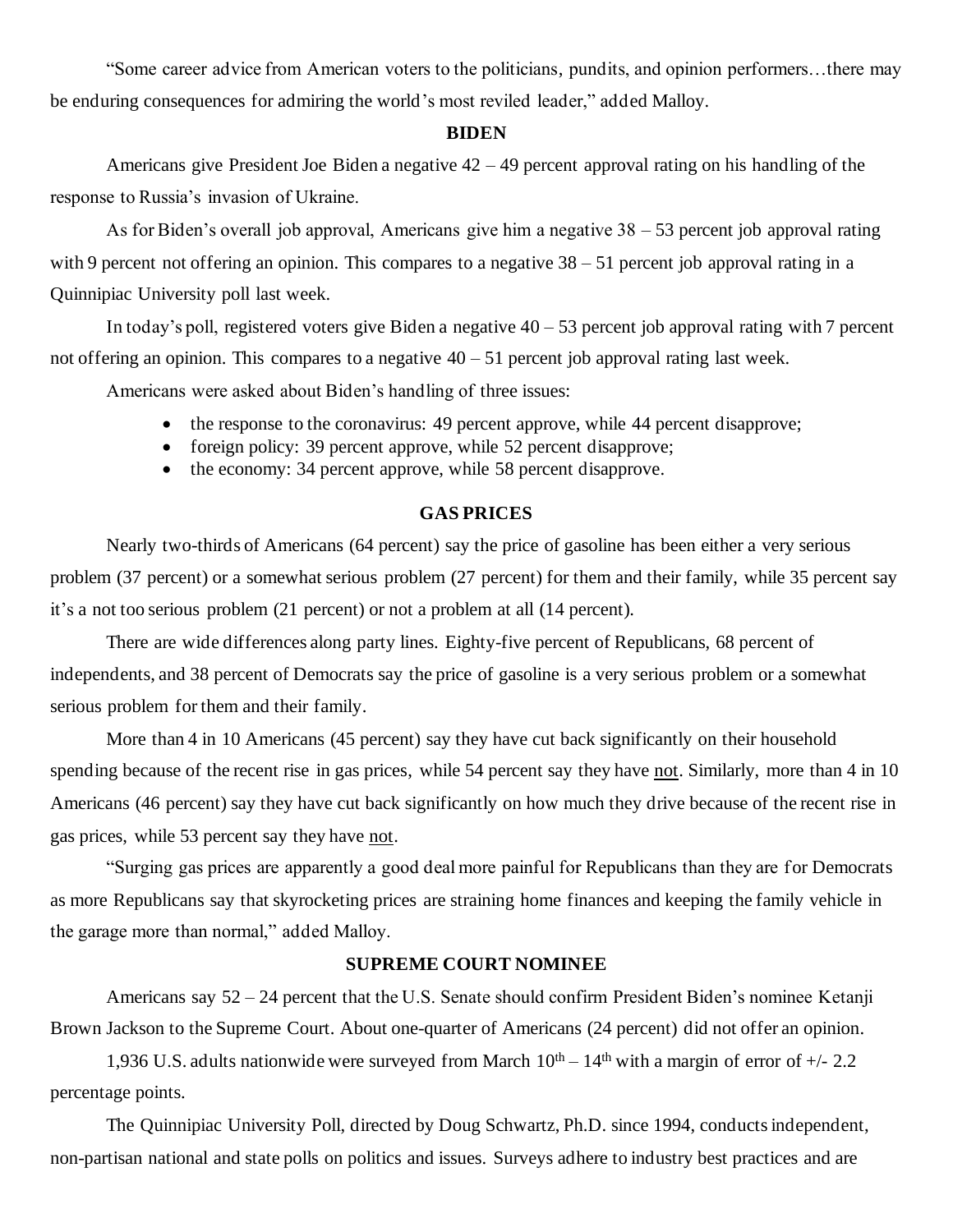"Some career advice from American voters to the politicians, pundits, and opinion performers…there may be enduring consequences for admiring the world's most reviled leader," added Malloy.

#### **BIDEN**

Americans give President Joe Biden a negative 42 – 49 percent approval rating on his handling of the response to Russia's invasion of Ukraine.

As for Biden's overall job approval, Americans give him a negative 38 – 53 percent job approval rating with 9 percent not offering an opinion. This compares to a negative  $38 - 51$  percent job approval rating in a Quinnipiac University poll last week.

In today's poll, registered voters give Biden a negative  $40 - 53$  percent job approval rating with 7 percent not offering an opinion. This compares to a negative  $40 - 51$  percent job approval rating last week.

Americans were asked about Biden's handling of three issues:

- the response to the coronavirus: 49 percent approve, while 44 percent disapprove;
- foreign policy: 39 percent approve, while 52 percent disapprove;
- the economy: 34 percent approve, while 58 percent disapprove.

## **GAS PRICES**

Nearly two-thirds of Americans (64 percent) say the price of gasoline has been either a very serious problem (37 percent) or a somewhat serious problem (27 percent) for them and their family, while 35 percent say it's a not too serious problem (21 percent) or not a problem at all (14 percent).

There are wide differences along party lines. Eighty-five percent of Republicans, 68 percent of independents, and 38 percent of Democrats say the price of gasoline is a very serious problem or a somewhat serious problem for them and their family.

More than 4 in 10 Americans (45 percent) say they have cut back significantly on their household spending because of the recent rise in gas prices, while 54 percent say they have not. Similarly, more than 4 in 10 Americans (46 percent) say they have cut back significantly on how much they drive because of the recent rise in gas prices, while 53 percent say they have not.

"Surging gas prices are apparently a good deal more painful for Republicans than they are for Democrats as more Republicans say that skyrocketing prices are straining home finances and keeping the family vehicle in the garage more than normal," added Malloy.

### **SUPREME COURT NOMINEE**

Americans say 52 – 24 percent that the U.S. Senate should confirm President Biden's nominee Ketanji Brown Jackson to the Supreme Court. About one-quarter of Americans (24 percent) did not offer an opinion.

1,936 U.S. adults nationwide were surveyed from March  $10^{th} - 14^{th}$  with a margin of error of  $+/- 2.2$ percentage points.

The Quinnipiac University Poll, directed by Doug Schwartz, Ph.D. since 1994, conducts independent, non-partisan national and state polls on politics and issues. Surveys adhere to industry best practices and are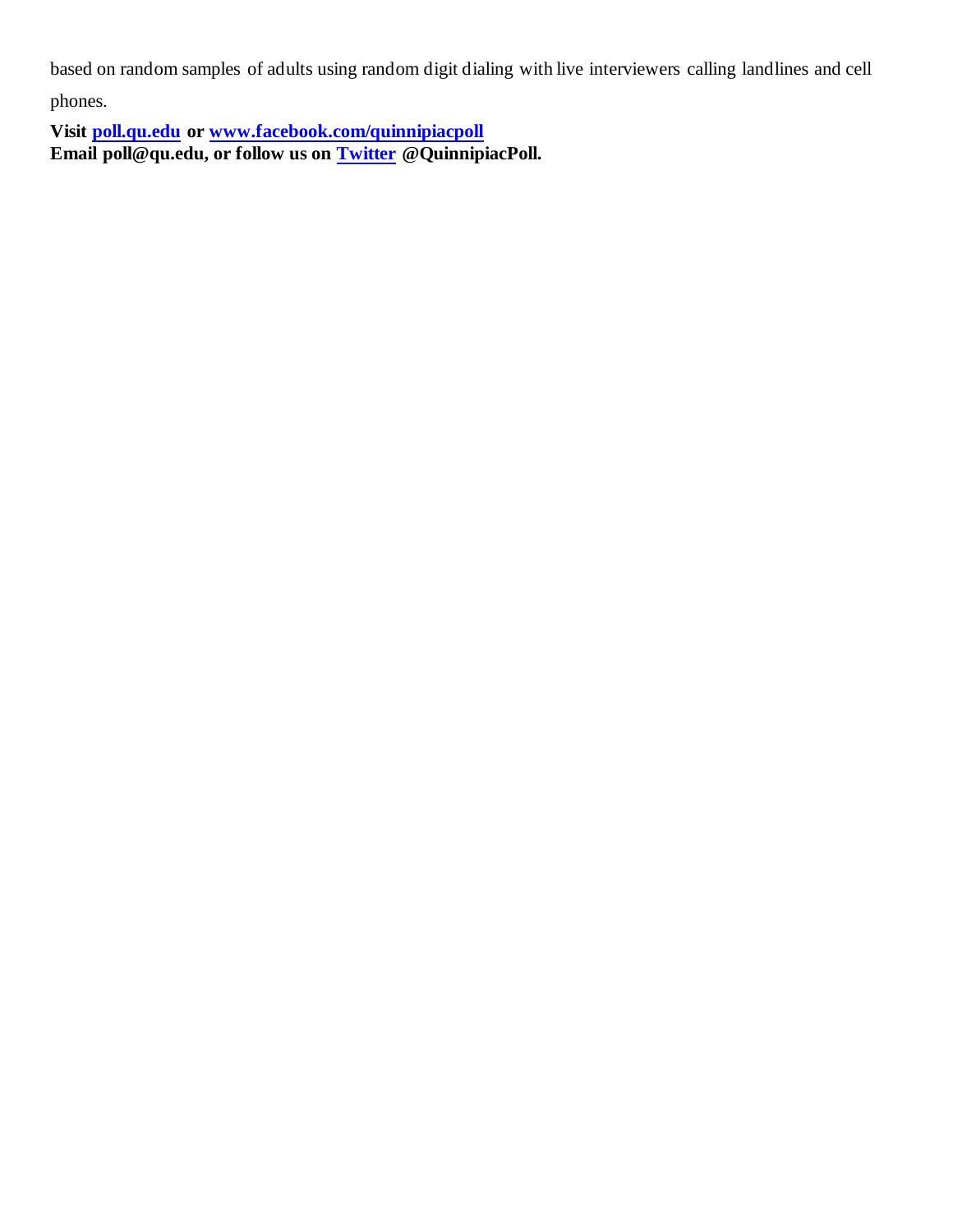based on random samples of adults using random digit dialing with live interviewers calling landlines and cell

phones.

**Visit [poll.qu.edu](https://poll.qu.edu/) or [www.facebook.com/quinnipiacpoll](http://www.facebook.com/quinnipiacpoll)  Email poll@qu.edu, or follow us on [Twitter](http://twitter.com/QuinnipiacPoll) @QuinnipiacPoll.**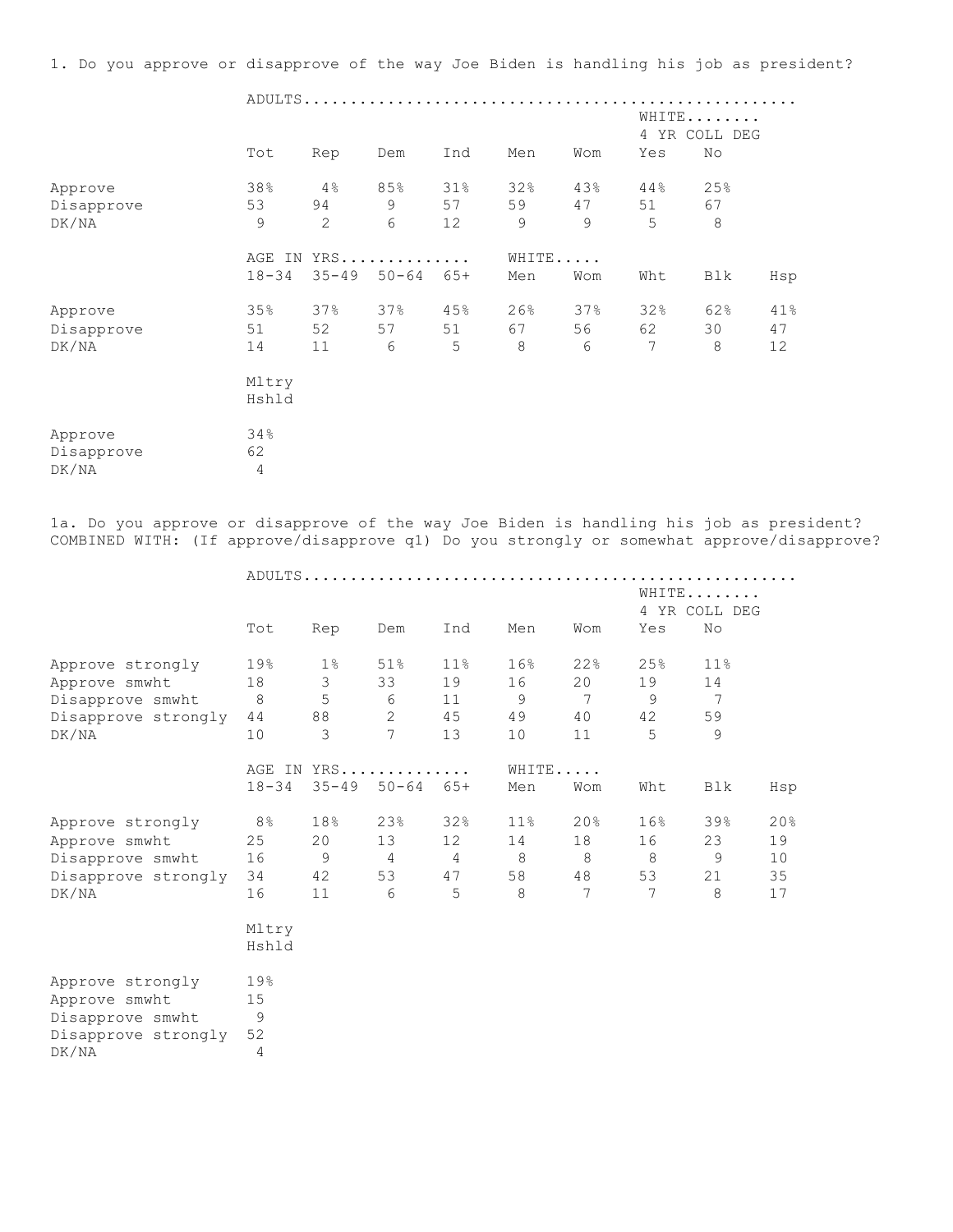1. Do you approve or disapprove of the way Joe Biden is handling his job as president?

|            |                |     |                     | WHITE<br>4 YR COLL DEG<br>No<br>Yes |       |     |     |     |     |  |  |
|------------|----------------|-----|---------------------|-------------------------------------|-------|-----|-----|-----|-----|--|--|
|            | Tot            | Rep | Dem                 | Ind                                 | Men   | Wom |     |     |     |  |  |
| Approve    | 38%            | 4%  | 85%                 | 31%                                 | 32%   | 43% | 44% | 25% |     |  |  |
| Disapprove | 53             | 94  | 9                   | 57                                  | 59    | 47  | 51  | 67  |     |  |  |
| DK/NA      | 9              | 2   | 6                   | 12                                  | 9     | 9   | 5   | 8   |     |  |  |
|            |                |     | AGE IN YRS          |                                     | WHITE |     |     |     |     |  |  |
|            | $18 - 34$      |     | $35 - 49$ $50 - 64$ | $65+$                               | Men   | Wom | Wht | Blk | Hsp |  |  |
| Approve    | 35%            | 37% | 37%                 | 45%                                 | 26%   | 37% | 32% | 62% | 41% |  |  |
| Disapprove | 51             | 52  | 57                  | 51                                  | 67    | 56  | 62  | 30  | 47  |  |  |
| DK/NA      | 14             | 11  | 6                   | 5                                   | 8     | 6   | 7   | 8   | 12  |  |  |
|            | Mltry          |     |                     |                                     |       |     |     |     |     |  |  |
|            | Hshld          |     |                     |                                     |       |     |     |     |     |  |  |
| Approve    | 34%            |     |                     |                                     |       |     |     |     |     |  |  |
| Disapprove | 62             |     |                     |                                     |       |     |     |     |     |  |  |
| DK/NA      | $\overline{4}$ |     |                     |                                     |       |     |     |     |     |  |  |

1a. Do you approve or disapprove of the way Joe Biden is handling his job as president? COMBINED WITH: (If approve/disapprove q1) Do you strongly or somewhat approve/disapprove?

| Tot            | Rep             | Dem            | Ind             | Men                                                | Wom                          | Yes            |                 |                              |
|----------------|-----------------|----------------|-----------------|----------------------------------------------------|------------------------------|----------------|-----------------|------------------------------|
| 19%            | $1\%$           | 51%            | 11 <sup>°</sup> | 16%                                                | 22%                          | 25%            | 11 <sup>°</sup> |                              |
| 18             | $\mathcal{S}$   | 33             | 19              | 16                                                 | 20                           | 19             | 14              |                              |
| 8 <sup>8</sup> | 5               |                | 11              | 9                                                  | $7\phantom{.0}\phantom{.0}7$ | 9              | $\overline{7}$  |                              |
| 44             | 88              | $\overline{2}$ | 45              | 49                                                 | 40                           | 42             | 59              |                              |
| 10             | 3               | $\overline{7}$ | 13              | 10                                                 | 11                           | 5              | 9               |                              |
|                |                 |                |                 |                                                    |                              |                |                 |                              |
| $18 - 34$      |                 |                |                 | Men                                                | Wom                          | Wht            | Blk             | Hsp                          |
| 8%             | 18%             | 23%            | 32%             | $11\%$                                             | 20%                          | 16%            | 39%             | 20%                          |
| 25             | 20 <sub>o</sub> | 13             | 12              | 14                                                 | 18                           | 16             | 23              | 19                           |
| 16             | 9               | $\overline{4}$ | 4               | 8                                                  | - 8                          | - 8            | 9               | 10                           |
| 34             | 42              | 53             | 47              | 58                                                 | 48                           | 53             | 21              | 35                           |
| 16             | 11              | 6              | 5               | 8                                                  | $\overline{7}$               | $\overline{7}$ | 8               | 17                           |
| Mltry          |                 |                |                 |                                                    |                              |                |                 |                              |
| Hshld          |                 |                |                 |                                                    |                              |                |                 |                              |
| 19%            |                 |                |                 |                                                    |                              |                |                 |                              |
| 15             |                 |                |                 |                                                    |                              |                |                 |                              |
| 9              |                 |                |                 |                                                    |                              |                |                 |                              |
| 52             |                 |                |                 |                                                    |                              |                |                 |                              |
| 4              |                 |                |                 |                                                    |                              |                |                 |                              |
|                |                 |                | 6               | ADULTS<br>AGE IN YRS<br>$35 - 49$ $50 - 64$ $65 +$ |                              | WHITE          |                 | WHITE<br>4 YR COLL DEG<br>No |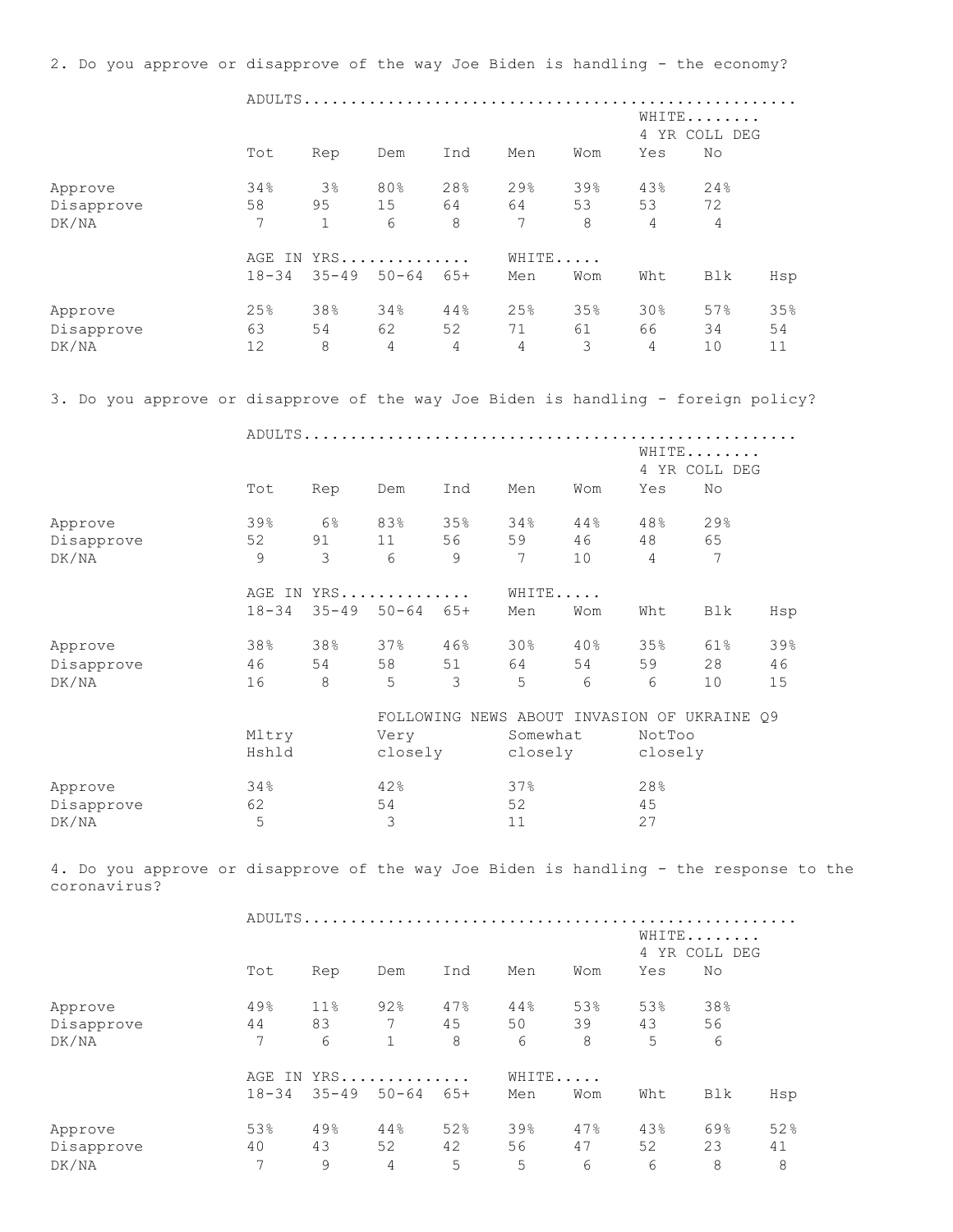ADULTS..................................................... WHITE........ 4 YR COLL DEG Tot Rep Dem Ind Men Wom Yes No Approve 34% 3% 80% 28% 29% 39% 43% 24% Disapprove 58 95 15 64 64 53 53 72 DK/NA 7 1 6 8 7 8 4 4 AGE IN YRS............... WHITE...... 18-34 35-49 50-64 65+ Men Wom Wht Blk Hsp Approve 25% 38% 34% 44% 25% 35% 30% 57% 35% Disapprove 63 54 62 52 71 61 66 34 54 DK/NA 12 8 4 4 4 3 4 10 11 3. Do you approve or disapprove of the way Joe Biden is handling - foreign policy? ADULTS..................................................... WHITE........ 4 YR COLL DEG Tot Rep Dem Ind Men Wom Yes No Approve 39% 6% 83% 35% 34% 44% 48% 29% Disapprove 52 91 11 56 59 46 48 65 DK/NA 9 3 6 9 7 10 4 7 AGE IN YRS............... WHITE...... 18-34 35-49 50-64 65+ Men Wom Wht Blk Hsp Approve 38% 38% 37% 46% 30% 40% 35% 61% 39% Disapprove 46 54 58 51 64 54 59 28 46 DK/NA 16 8 5 3 5 6 6 10 15 FOLLOWING NEWS ABOUT INVASION OF UKRAINE Q9 Mltry Very Somewhat NotToo Hshld closely closely closely Approve 34% 42% 37% 28%<br>Disapprove 62 54 52 45 Disapprove  $62$  54 52 52 45 DK/NA 5 3 11 27 4. Do you approve or disapprove of the way Joe Biden is handling - the response to the coronavirus? ADULTS..................................................... WHITE........ 4 YR COLL DEG Tot Rep Dem Ind Men Wom Yes No Approve 80 49% 11% 92% 47% 44% 53% 53% 38% Disapprove 44 83 7 45 50 39 43 56 DK/NA 7 6 1 8 6 8 5 6 AGE IN YRS............... WHITE...... 18-34 35-49 50-64 65+ Men Wom Wht Blk Hsp Approve 53% 49% 44% 52% 39% 47% 43% 69% 52%<br>Disapprove 40 43 52 42 56 47 52 23 41<br>DK/NA 7 9 4 5 5 6 6 8 8 Disapprove 40 43 52 42 56 47 52 23 41 DK/NA 7 9 4 5 5 6 6 8 8

2. Do you approve or disapprove of the way Joe Biden is handling - the economy?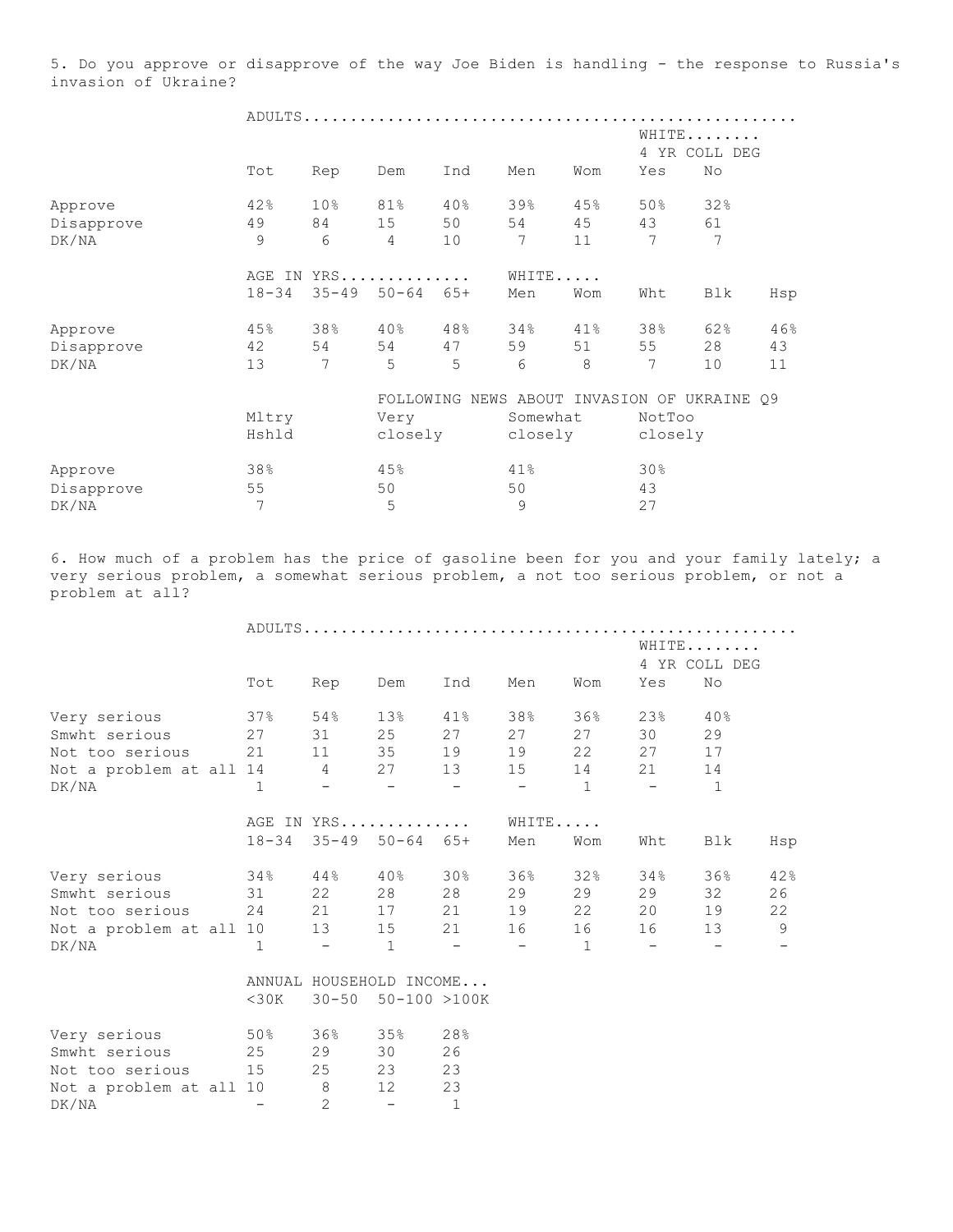5. Do you approve or disapprove of the way Joe Biden is handling - the response to Russia's invasion of Ukraine?

|            |           |                 |                            |     |          |     | WHITE<br>4 YR COLL DEG |                                   |     |  |  |  |
|------------|-----------|-----------------|----------------------------|-----|----------|-----|------------------------|-----------------------------------|-----|--|--|--|
|            | Tot       | Rep             | Dem                        | Ind | Men      | Wom | Yes                    | No                                |     |  |  |  |
| Approve    | 42%       | 10 <sub>8</sub> | 81%                        | 40% | 39%      | 45% | 50%                    | 32%                               |     |  |  |  |
| Disapprove | 49        | 84              | 15                         | 50  | 54       | 45  | 43                     | 61                                |     |  |  |  |
| DK/NA      | 9         | 6               | 4                          | 10  | 7        | 11  | 7                      | 7                                 |     |  |  |  |
|            | AGE IN    |                 | YRS                        |     | WHITE    |     |                        |                                   |     |  |  |  |
|            | $18 - 34$ |                 | $35 - 49$ $50 - 64$ $65 +$ |     | Men      | Wom | Wht                    | Blk                               | Hsp |  |  |  |
| Approve    | 45%       | 38%             | $40\%$                     | 48% | 34%      | 41% | 38%                    | 62%                               | 46% |  |  |  |
| Disapprove | 42        | 54              | 54                         | 47  | 59       | 51  | 55                     | 28                                | 43  |  |  |  |
| DK/NA      | 13        | 7               | 5                          | 5   | 6        | 8   | 7                      | 10                                | 11  |  |  |  |
|            |           |                 | FOLLOWING                  |     |          |     |                        | NEWS ABOUT INVASION OF UKRAINE 09 |     |  |  |  |
|            | Mltry     |                 | Very                       |     | Somewhat |     | NotToo                 |                                   |     |  |  |  |
|            | Hshld     |                 | closely                    |     | closely  |     | closely                |                                   |     |  |  |  |
| Approve    | 38%       |                 | 45%                        |     | 41%      |     | 30%                    |                                   |     |  |  |  |

 $Disappropriate 55$  50 50 43 DK/NA 7 5 9 27

6. How much of a problem has the price of gasoline been for you and your family lately; a very serious problem, a somewhat serious problem, a not too serious problem, or not a problem at all?

|                              |              |              |                               |                          |                                 |              |                          | WHITE         |     |
|------------------------------|--------------|--------------|-------------------------------|--------------------------|---------------------------------|--------------|--------------------------|---------------|-----|
|                              |              |              |                               |                          |                                 |              |                          | 4 YR COLL DEG |     |
|                              | Tot          | Rep          | Dem                           | Ind                      | Men                             | Wom          | Yes                      | No            |     |
| Very serious                 | 37%          | 54%          | 13%                           | 41%                      | 38%                             | 36%          | 23%                      | 40%           |     |
| Smwht serious                | 27           |              | 31 25 27                      |                          | 27                              | 27           | 30                       | 29            |     |
| Not too serious 21           |              |              | 11 35 19                      |                          | 19                              |              | 22 27                    | 17            |     |
| Not a problem at all 14 4 27 |              |              |                               | 13                       | 15                              | 14           | 21                       | 14            |     |
| DK/NA                        | $\mathbf{1}$ |              | $\overline{\phantom{a}}$      | $\overline{\phantom{a}}$ | $-$                             | $\mathbf{1}$ | $\overline{\phantom{a}}$ | -1            |     |
|                              |              |              | AGE IN YRS                    |                          | WHITE                           |              |                          |               |     |
|                              |              |              | $18-34$ $35-49$ $50-64$ $65+$ |                          | Men                             | Wom          | Wht                      | Blk           | Hsp |
| Very serious                 | 34%          |              | $44\%$ $40\%$                 | 30%                      | 36%                             | 32%          | 34%                      | 36%           | 42% |
| Smwht serious                | $\sim$ 31    |              | 22 28 28                      |                          | 29                              | 29           | 29                       | 32            | 26  |
| Not too serious              | 24           |              | 21 17 21                      |                          | 19                              | 22           | 20                       | 19            | 22  |
| Not a problem at all 10      |              |              | 13 15                         | 21                       | 16                              | 16           | 16                       | 13            | 9   |
| DK/NA                        | $\mathbf{1}$ | $\sim$       | 1                             | <b>Service Contract</b>  | <b>Contract Contract Street</b> | $\mathbf{1}$ | $\sim$ $-$               |               |     |
|                              |              |              | ANNUAL HOUSEHOLD INCOME       |                          |                                 |              |                          |               |     |
|                              | $<$ 30K      |              | 30-50 50-100 >100K            |                          |                                 |              |                          |               |     |
| Very serious                 | 50%          |              | $36\%$ $35\%$                 | 28%                      |                                 |              |                          |               |     |
| Smwht serious                | 25           | 29           | 30                            | 26                       |                                 |              |                          |               |     |
| Not too serious              | 15           | 25 23        |                               | 23                       |                                 |              |                          |               |     |
| Not a problem at all 10      |              | 8            | 12                            | 23                       |                                 |              |                          |               |     |
| DK/NA                        |              | $\mathbf{2}$ | $\overline{\phantom{a}}$      | $\mathbf{1}$             |                                 |              |                          |               |     |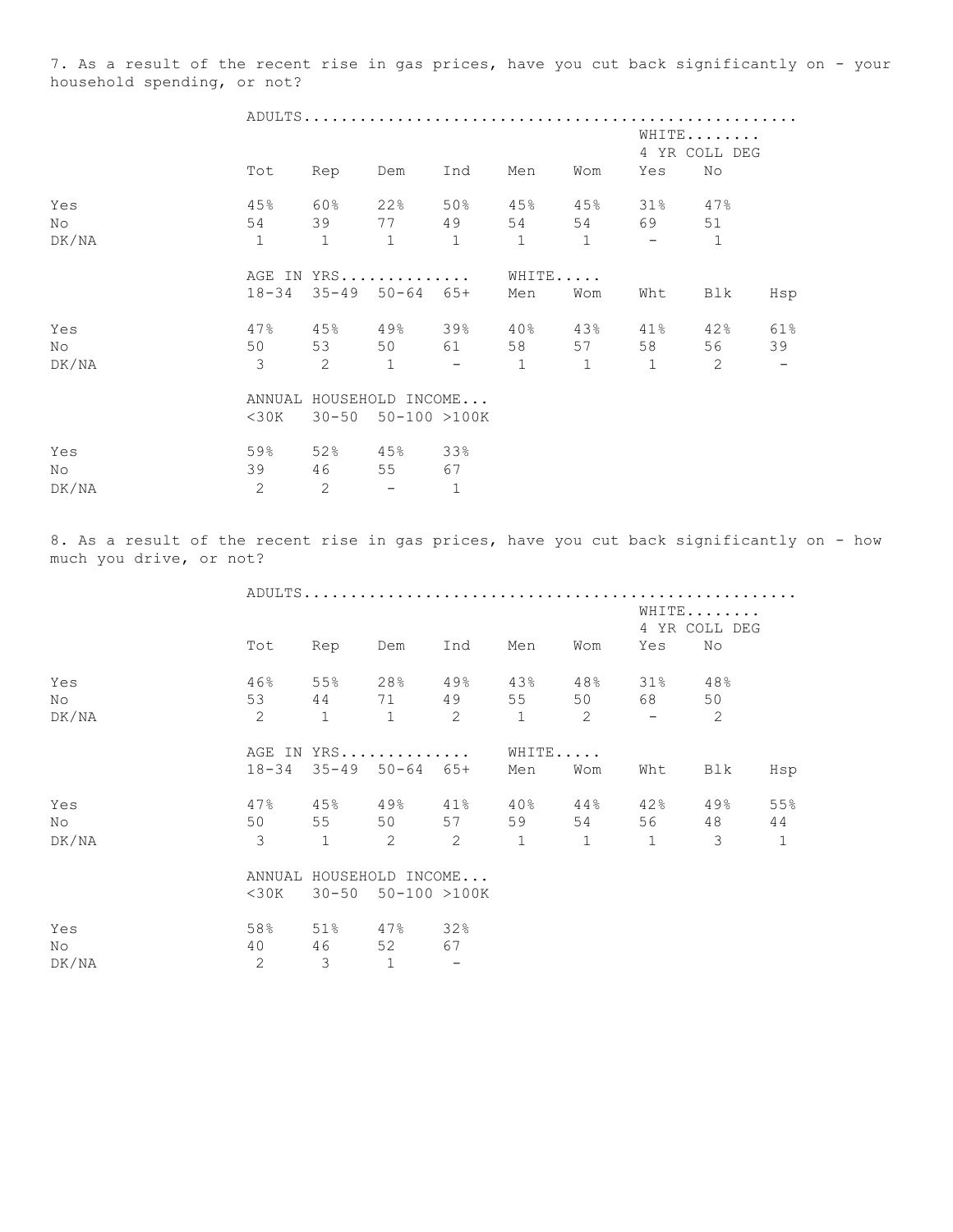7. As a result of the recent rise in gas prices, have you cut back significantly on - your household spending, or not?

|                |               |                |                               |            |              |              | WHITE<br>4 YR COLL DEG |              |     |  |  |  |
|----------------|---------------|----------------|-------------------------------|------------|--------------|--------------|------------------------|--------------|-----|--|--|--|
|                | Tot           | Rep            | Dem                           | Ind        | Men          | Wom          | Yes                    | No           |     |  |  |  |
| Yes            | 45%           | 60%            | 22%                           | 50%        | 45%          |              | 45% 31% 47%            |              |     |  |  |  |
| No             | 54            |                | 39 77                         | 49         | 54           |              | 54 69                  | 51           |     |  |  |  |
| DK/NA          | $\mathbf{1}$  | $\mathbf{1}$   | 1                             | 1          | $\mathbf{1}$ | $\mathbf{1}$ | $\sim$ $-$             | $\mathbf{1}$ |     |  |  |  |
|                |               |                | AGE IN YRS                    |            | WHITE        |              |                        |              |     |  |  |  |
|                |               |                | $18-34$ $35-49$ $50-64$ $65+$ |            | Men          | Wom          | Wht                    | Blk          | Hsp |  |  |  |
| Yes            | 47%           |                | 45% 49% 39% 40%               |            |              | 43%          | 41%                    | 42%          | 61% |  |  |  |
| N <sub>O</sub> | 50            | 53             |                               | 50 61      | 58           | 57           | 58                     | 56 —         | 39  |  |  |  |
| DK/NA          | $\mathcal{S}$ | $\overline{2}$ | $\overline{1}$                | $\sim$ $-$ | $\mathbf{1}$ | 1            | 1                      | 2            |     |  |  |  |
|                |               |                | ANNUAL HOUSEHOLD INCOME       |            |              |              |                        |              |     |  |  |  |
|                |               |                | $<$ 30K 30-50 50-100 >100K    |            |              |              |                        |              |     |  |  |  |
| Yes            | 59%           |                | 52% 45% 33%                   |            |              |              |                        |              |     |  |  |  |
| No             | 39            | 46             | 55                            | 67         |              |              |                        |              |     |  |  |  |

8. As a result of the recent rise in gas prices, have you cut back significantly on - how much you drive, or not?

|       |                | ADULTS              |                               |                |                |                          |               |                |                        |  |  |  |  |
|-------|----------------|---------------------|-------------------------------|----------------|----------------|--------------------------|---------------|----------------|------------------------|--|--|--|--|
|       |                |                     |                               |                |                |                          |               |                | WHITE<br>4 YR COLL DEG |  |  |  |  |
|       | Tot            | Rep                 | Dem                           | Ind            | Men            | Wom                      | Yes           | No             |                        |  |  |  |  |
| Yes   | 46%            | 55%                 | $28\%$ 49%                    |                | 43%            | 48%                      | $31\%$        | 48%            |                        |  |  |  |  |
| No    | 53             |                     | 44 71 49 55 50                |                |                |                          | 68 68         | 50             |                        |  |  |  |  |
| DK/NA | 2              | $\sim$ 1            | $\overline{1}$                | $\overline{c}$ | $\overline{1}$ | $\overline{\phantom{a}}$ | $\sim$        | $\overline{2}$ |                        |  |  |  |  |
|       |                | WHITE<br>AGE IN YRS |                               |                |                |                          |               |                |                        |  |  |  |  |
|       |                |                     | $18-34$ $35-49$ $50-64$ $65+$ |                | Men            | Wom                      | Wht           | Blk            | Hsp                    |  |  |  |  |
| Yes   | 47%            | $45\%$              | $49\%$ $41\%$                 |                | $40\%$         | 44%                      | $42\%$ $49\%$ |                | 55%                    |  |  |  |  |
| No    | 50             |                     | 55 50 57                      |                | 59             | 54                       | 56 —          | 48             | 44                     |  |  |  |  |
| DK/NA | $\overline{3}$ | $\mathbf{1}$        | 2                             | $\overline{2}$ | $\mathbf{1}$   | $\mathbf{1}$             | $\mathbf{1}$  | $\mathcal{E}$  | $\mathbf{1}$           |  |  |  |  |
|       |                |                     | ANNUAL HOUSEHOLD INCOME       |                |                |                          |               |                |                        |  |  |  |  |
|       |                |                     | $<$ 30K 30-50 50-100 >100K    |                |                |                          |               |                |                        |  |  |  |  |

| Yes   | 58% | $51\%$        | 47%  | 32%                      |
|-------|-----|---------------|------|--------------------------|
| Νo    | 4 O | 46            | - 52 | 67                       |
| DK/NA |     | $\mathcal{L}$ |      | $\overline{\phantom{0}}$ |

DK/NA 2 2 - 1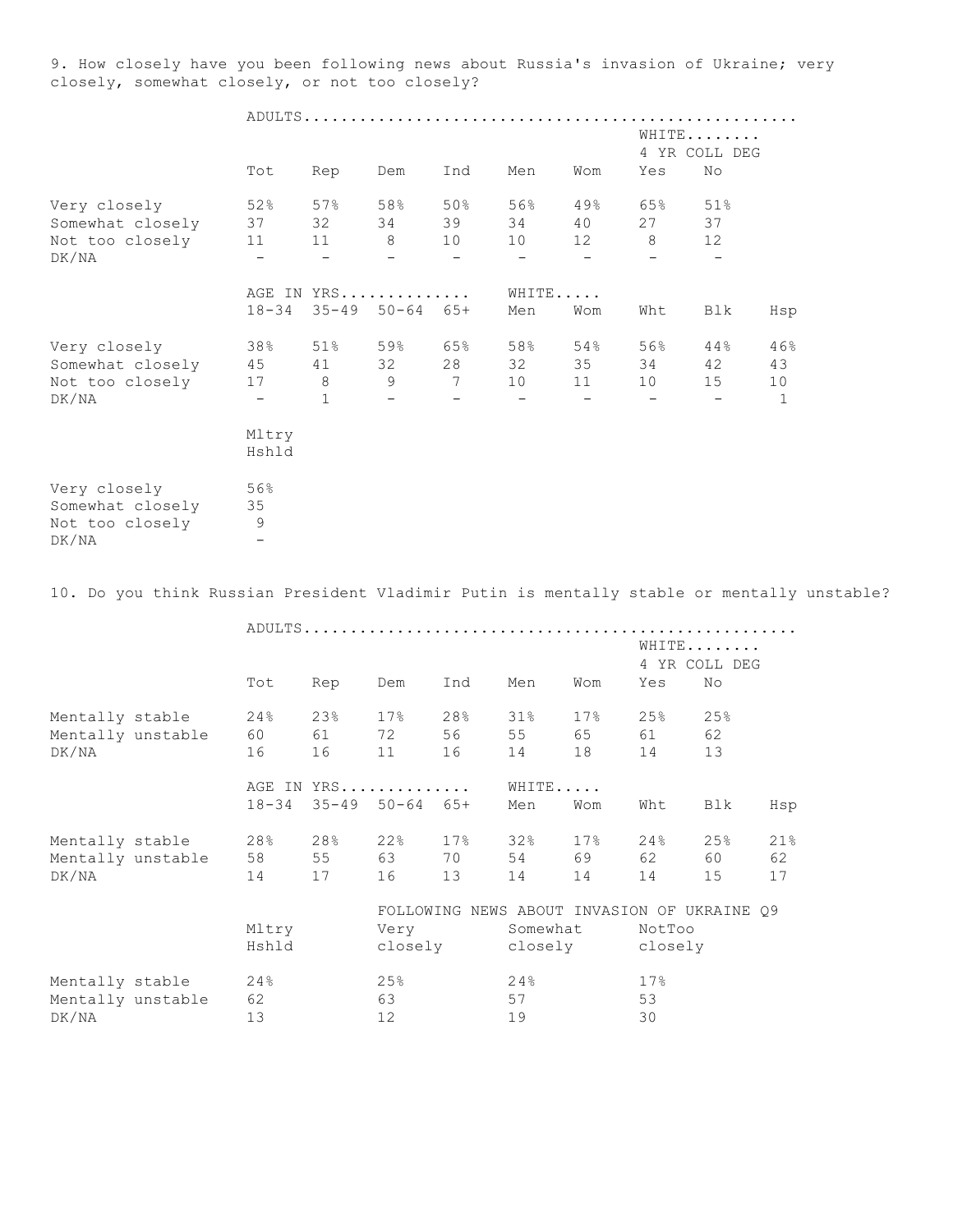9. How closely have you been following news about Russia's invasion of Ukraine; very closely, somewhat closely, or not too closely?

|                                                                                            |                          |                   |                            |                          |                          |                                             |                          | WHITE                    |     |  |
|--------------------------------------------------------------------------------------------|--------------------------|-------------------|----------------------------|--------------------------|--------------------------|---------------------------------------------|--------------------------|--------------------------|-----|--|
|                                                                                            |                          |                   |                            |                          |                          |                                             |                          | 4 YR COLL DEG            |     |  |
|                                                                                            | Tot                      | Rep               | Dem                        | Ind                      | Men                      | Wom                                         | Yes                      | No                       |     |  |
| Very closely                                                                               | 52%                      | 57%               | 58%                        | 50%                      | 56%                      | 49%                                         | 65%                      | 51%                      |     |  |
| Somewhat closely                                                                           | 37                       | 32                | 34                         | 39                       | 34                       | 40                                          | 27                       | 37                       |     |  |
| Not too closely                                                                            | 11                       | 11                | 8                          | 10                       | 10                       | 12                                          | 8                        | 12                       |     |  |
| DK/NA                                                                                      | $\overline{\phantom{a}}$ | $\qquad \qquad -$ | $\overline{\phantom{0}}$   | $\overline{\phantom{m}}$ | $\overline{\phantom{a}}$ | $\overline{\phantom{a}}$                    | $\overline{\phantom{0}}$ | $\overline{\phantom{a}}$ |     |  |
|                                                                                            |                          |                   | AGE IN YRS                 |                          |                          | WHITE                                       |                          |                          |     |  |
|                                                                                            | $18 - 34$                |                   | $35 - 49$ $50 - 64$ $65 +$ |                          | Men                      | Wom                                         | Wht                      | Blk                      | Hsp |  |
| Very closely                                                                               | 38%                      | 51%               | 59%                        | 65%                      | 58%                      | 54%                                         | 56%                      | 44%                      | 46% |  |
| Somewhat closely 45 41 32                                                                  |                          |                   |                            | 28                       | 32                       | 35                                          | 34                       | 42                       | 43  |  |
| Not too closely                                                                            | 17                       | 8 <sup>8</sup>    | 9                          | $\overline{7}$           | 10                       | 11                                          | 10                       | 15                       | 10  |  |
| DK/NA                                                                                      | $ \,$                    | 1                 | $ \,$                      | $-$                      | $-$                      | $-$                                         | $-$                      | $\overline{\phantom{m}}$ | 1   |  |
|                                                                                            | Mltry                    |                   |                            |                          |                          |                                             |                          |                          |     |  |
|                                                                                            | Hshld                    |                   |                            |                          |                          |                                             |                          |                          |     |  |
| Very closely                                                                               | 56%                      |                   |                            |                          |                          |                                             |                          |                          |     |  |
| Somewhat closely                                                                           | 35                       |                   |                            |                          |                          |                                             |                          |                          |     |  |
| Not too closely                                                                            | - 9                      |                   |                            |                          |                          |                                             |                          |                          |     |  |
| DK/NA                                                                                      |                          |                   |                            |                          |                          |                                             |                          |                          |     |  |
| 10. Do you think Russian President Vladimir Putin is mentally stable or mentally unstable? |                          |                   |                            |                          |                          |                                             |                          |                          |     |  |
|                                                                                            |                          |                   |                            |                          |                          |                                             |                          |                          |     |  |
|                                                                                            |                          |                   |                            |                          |                          |                                             |                          | WHITE                    |     |  |
|                                                                                            |                          |                   |                            |                          |                          |                                             |                          | 4 YR COLL DEG            |     |  |
|                                                                                            | Tot                      | Rep               | Dem                        | Ind                      | Men                      | Wom                                         | Yes                      | No                       |     |  |
| Mentally stable                                                                            | 24%                      | 23%               | 17%                        | 28%                      | 31%                      | 17%                                         | 25%                      | 25%                      |     |  |
| Mentally unstable                                                                          | 60                       | 61                | 72                         | 56                       | 55                       | 65                                          | 61                       | 62                       |     |  |
| DK/NA                                                                                      | 16                       | 16                | 11                         | 16                       | 14                       | 18                                          | 14                       | 13                       |     |  |
|                                                                                            |                          |                   | AGE IN YRS                 |                          |                          | WHITE                                       |                          |                          |     |  |
|                                                                                            |                          |                   | 18-34 35-49 50-64 65+      |                          | Men                      | Wom                                         | Wht                      | Blk                      | Hsp |  |
| Mentally stable                                                                            | 28%                      | 28%               | 22%                        | 17%                      | 32%                      | 17%                                         | 24%                      | 25%                      | 21% |  |
| Mentally unstable                                                                          | 58                       | 55                | 63                         | 70                       | 54                       | 69                                          | 62                       | 60                       | 62  |  |
| DK/NA                                                                                      | 14                       | 17                | 16                         | 13                       | 14                       | 14                                          | 14                       | 15                       | 17  |  |
|                                                                                            |                          |                   |                            |                          |                          | FOLLOWING NEWS ABOUT INVASION OF UKRAINE Q9 |                          |                          |     |  |
|                                                                                            | Mltry                    |                   | Very                       |                          | Somewhat                 |                                             | NotToo                   |                          |     |  |
|                                                                                            | Hshld                    |                   | closely                    |                          | closely                  |                                             | closely                  |                          |     |  |
| Mentally stable                                                                            | 24%                      |                   | 25%                        |                          | 24%                      |                                             | 17%                      |                          |     |  |
| Mentally unstable                                                                          | 62                       |                   | 63                         |                          | 57                       |                                             | 53                       |                          |     |  |
| DK/NA                                                                                      | 13                       |                   | $12$                       |                          | 19                       |                                             | 30                       |                          |     |  |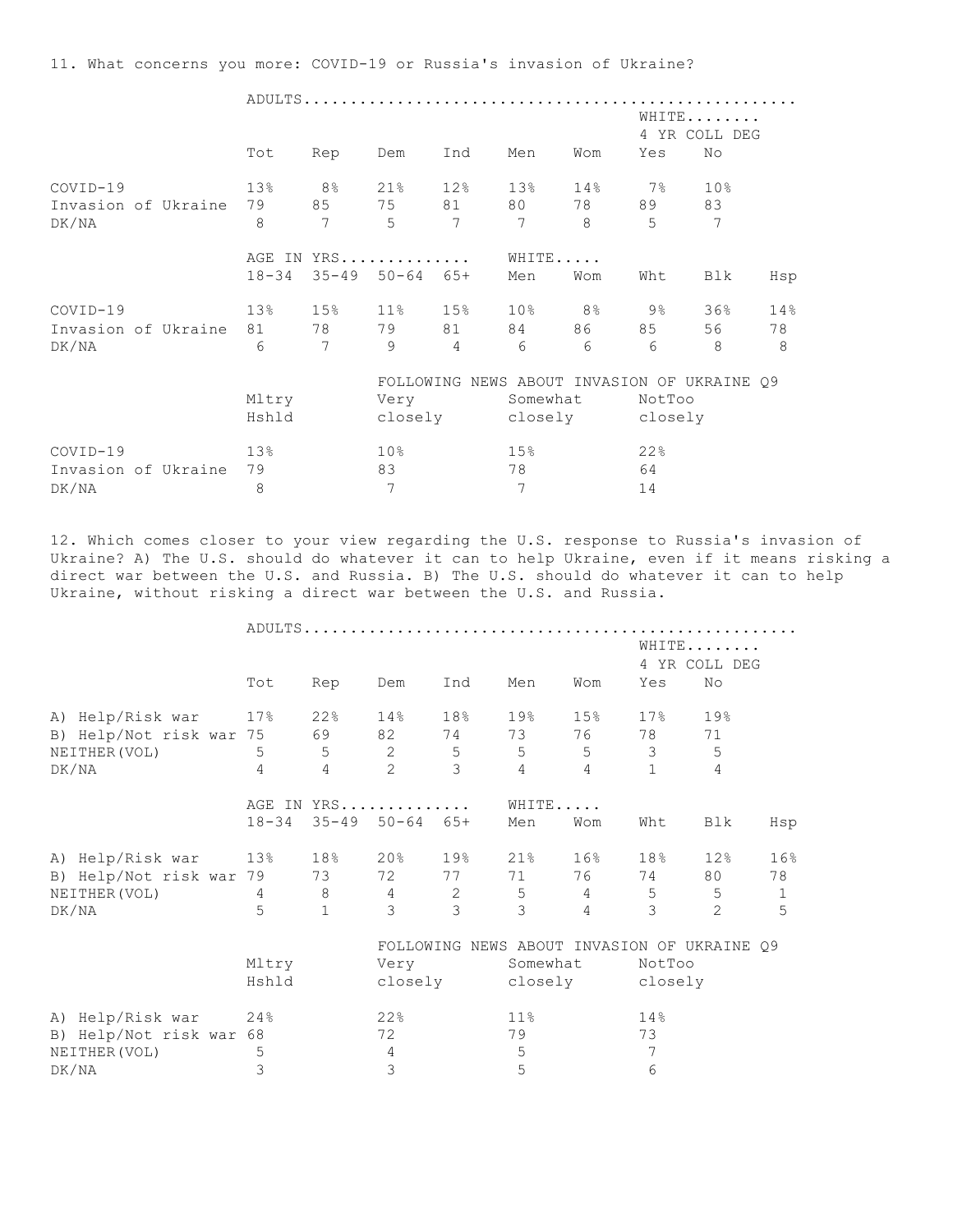11. What concerns you more: COVID-19 or Russia's invasion of Ukraine?

|          |                     |           |                 |                            |                |                                             |                                                                                                                                                                                                                                 |        | WHITE<br>4 YR COLL DEG |     |
|----------|---------------------|-----------|-----------------|----------------------------|----------------|---------------------------------------------|---------------------------------------------------------------------------------------------------------------------------------------------------------------------------------------------------------------------------------|--------|------------------------|-----|
|          |                     | Tot       | Rep             | Dem                        | Ind            | Men                                         | Wom                                                                                                                                                                                                                             | Yes    | No                     |     |
| COVID-19 |                     | 13%       |                 |                            | 8% 21% 12%     | 13%                                         | 14%                                                                                                                                                                                                                             | $7\%$  | 10 <sup>°</sup>        |     |
|          | Invasion of Ukraine |           |                 |                            | 79 85 75 81 80 |                                             | 78 — 178 — 178 — 179 — 179 — 179 — 179 — 179 — 179 — 179 — 179 — 179 — 179 — 179 — 179 — 179 — 179 — 179 — 179 — 179 — 179 — 179 — 179 — 179 — 179 — 179 — 179 — 179 — 179 — 179 — 179 — 179 — 179 — 179 — 179 — 179 — 179 — 17 | 89     | 83                     |     |
| DK/NA    |                     | 8         | $\overline{7}$  | 5                          | 7              | $\overline{7}$                              | $\mathcal{B}$                                                                                                                                                                                                                   | 5      | 7                      |     |
|          |                     |           |                 | AGE IN YRS                 |                | WHITE                                       |                                                                                                                                                                                                                                 |        |                        |     |
|          |                     | $18 - 34$ |                 | $35 - 49$ $50 - 64$ $65 +$ |                | Men                                         | Wom                                                                                                                                                                                                                             | Wht    | Blk                    | Hsp |
| COVID-19 |                     | 13%       |                 |                            | 15% 11% 15%    |                                             | $10\%$ 8% 9%                                                                                                                                                                                                                    |        | 36%                    | 14% |
|          | Invasion of Ukraine | 81 —      |                 |                            | 78 79 81       | 84                                          | 86 1                                                                                                                                                                                                                            | 85     | 56                     | 78  |
| DK/NA    |                     | 6         | $7\phantom{.0}$ | 9                          | $\overline{4}$ | 6                                           | $6 \overline{6}$                                                                                                                                                                                                                | 6      | 8                      | -8  |
|          |                     |           |                 |                            |                | FOLLOWING NEWS ABOUT INVASION OF UKRAINE 09 |                                                                                                                                                                                                                                 |        |                        |     |
|          |                     | Mltry     |                 |                            | Very           | Somewhat                                    |                                                                                                                                                                                                                                 | NotToo |                        |     |
|          |                     | Hshld     |                 |                            |                | closely closely closely                     |                                                                                                                                                                                                                                 |        |                        |     |
| COVID-19 |                     | 13%       |                 | $10\%$                     |                | 15%                                         |                                                                                                                                                                                                                                 | 22%    |                        |     |
|          | Invasion of Ukraine | 79        |                 | 83                         |                | 78                                          |                                                                                                                                                                                                                                 | 64     |                        |     |
| DK/NA    |                     | 8         |                 | 7                          |                | 7                                           |                                                                                                                                                                                                                                 | 14     |                        |     |

12. Which comes closer to your view regarding the U.S. response to Russia's invasion of Ukraine? A) The U.S. should do whatever it can to help Ukraine, even if it means risking a direct war between the U.S. and Russia. B) The U.S. should do whatever it can to help Ukraine, without risking a direct war between the U.S. and Russia.

|                         |                |                            |                          |                                             |                 |                 | WHITE<br>4 YR COLL DEG  |                |              |
|-------------------------|----------------|----------------------------|--------------------------|---------------------------------------------|-----------------|-----------------|-------------------------|----------------|--------------|
|                         | Tot            | Rep                        | Dem                      | Ind                                         | Men             | Wom             | Yes                     | No             |              |
| A) Help/Risk war 17%    |                |                            |                          | 22% 14% 18%                                 | 19 <sup>°</sup> | 15% 17%         |                         | 19%            |              |
| B) Help/Not risk war 75 |                |                            |                          | 69 82 74                                    | 73              |                 | 78                      | 71             |              |
| NEITHER (VOL)           | 5 <sup>5</sup> | 5                          | $\overline{\phantom{a}}$ | 5 <sub>5</sub>                              | 5 <sub>5</sub>  | $5\overline{)}$ | $\overline{\mathbf{3}}$ | 5              |              |
| DK/NA                   | $\overline{4}$ | $\overline{4}$             | $\overline{c}$           | 3                                           | $\overline{4}$  | $\overline{4}$  | $\mathbf{1}$            | $\overline{4}$ |              |
|                         |                | AGE IN YRS                 |                          |                                             | WHITE           |                 |                         |                |              |
|                         | $18 - 34$      | $35 - 49$ $50 - 64$ $65 +$ |                          |                                             | Men             | Wom             | Wht                     | Blk            | Hsp          |
| A) Help/Risk war 13%    |                |                            |                          | 18% 20% 19%                                 | 21%             | 16% 18%         |                         | 12%            | 16%          |
| B) Help/Not risk war 79 |                | 73                         |                          | 72 77                                       | 71              |                 | 76 74 80                |                | 78           |
| NEITHER (VOL)           | 4              | 8                          | 4                        | $\overline{2}$                              | $5\phantom{.0}$ | $\overline{4}$  | $\overline{5}$          | 5              | $\mathbf{1}$ |
| DK/NA                   | $5^{\circ}$    | $\mathbf{1}$               | 3                        | 3                                           | 3               | $\overline{4}$  | 3                       | $\overline{2}$ | 5            |
|                         |                |                            |                          | FOLLOWING NEWS ABOUT INVASION OF UKRAINE Q9 |                 |                 |                         |                |              |
|                         | Mltry          |                            | Very                     |                                             | Somewhat        |                 | NotToo                  |                |              |
|                         | Hshld          |                            |                          | closely closely closely                     |                 |                 |                         |                |              |
| A) Help/Risk war 24%    |                |                            | 22%                      |                                             | 11 <sup>°</sup> |                 | 14%                     |                |              |
| B) Help/Not risk war 68 |                |                            | 72                       |                                             | 79              |                 | 73                      |                |              |
| NEITHER (VOL)           | 5              |                            | 4                        |                                             | $\mathsf S$     |                 | 7                       |                |              |
| DK/NA                   | 3              |                            | 3                        |                                             | 5               |                 | 6                       |                |              |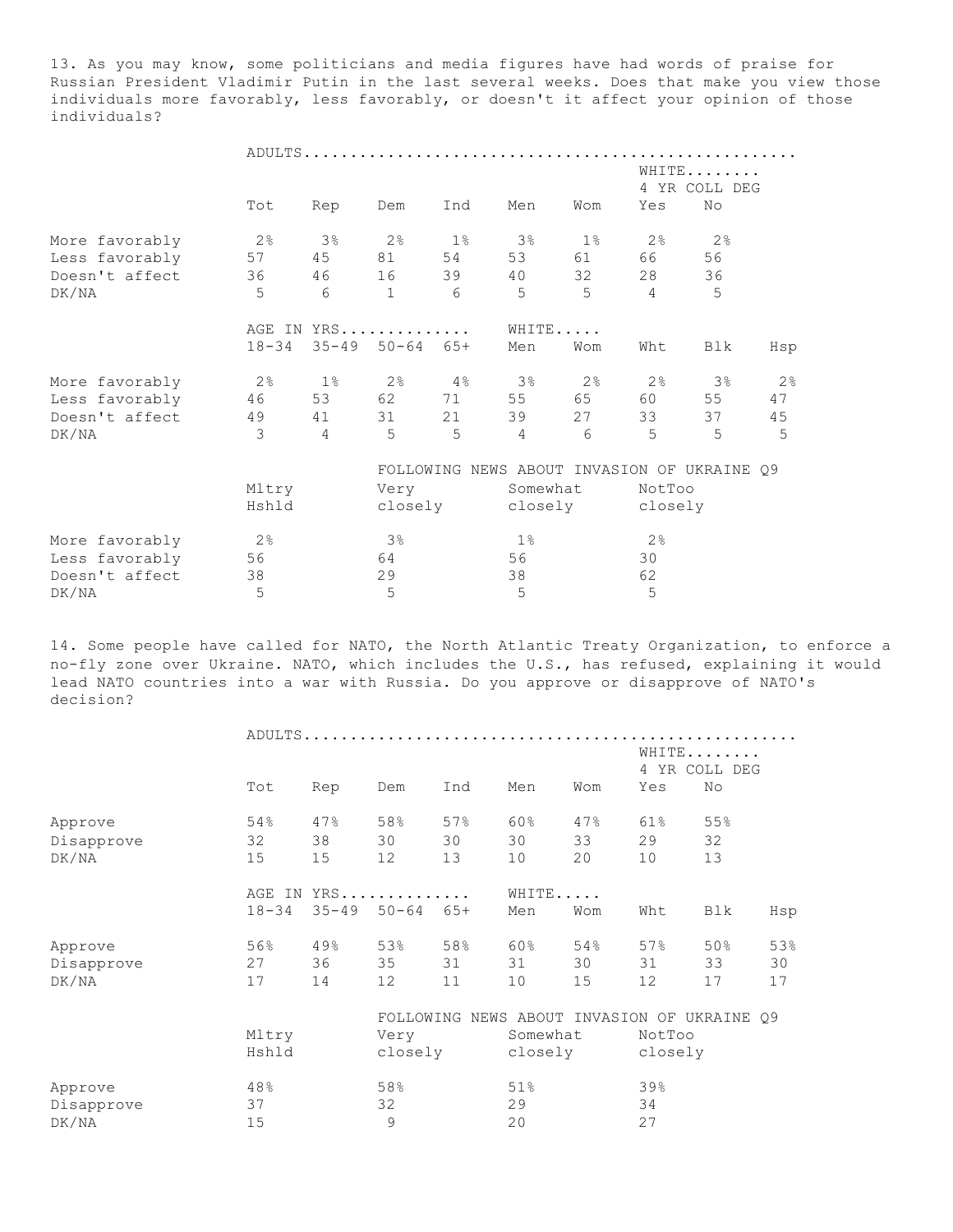13. As you may know, some politicians and media figures have had words of praise for Russian President Vladimir Putin in the last several weeks. Does that make you view those individuals more favorably, less favorably, or doesn't it affect your opinion of those individuals?

|                |                |                |                            |                |                                             |                 |                | WHITE<br>4 YR COLL DEG |     |  |  |  |
|----------------|----------------|----------------|----------------------------|----------------|---------------------------------------------|-----------------|----------------|------------------------|-----|--|--|--|
|                | Tot            | Rep            | Dem                        | Ind            | Men                                         | Wom             | Yes            | No                     |     |  |  |  |
| More favorably | 2 <sup>°</sup> | 38             | $2\,$ %                    |                | $1\%$ 3%                                    | $1\,$ %         | 2%             | 2%                     |     |  |  |  |
| Less favorably | 57             | 45             | 81 54                      |                | 53                                          | 61 — 10         | 66 — 10        | 56                     |     |  |  |  |
| Doesn't affect | 36             |                | 46 16 39                   |                | 40                                          | 32              | 28             | 36                     |     |  |  |  |
| DK/NA          | 5              | 6              | $\mathbf{1}$               | 6              | 5                                           | $5\overline{)}$ | $\overline{4}$ | 5                      |     |  |  |  |
|                |                |                | AGE IN YRS                 |                | WHITE                                       |                 |                |                        |     |  |  |  |
|                | $18 - 34$      |                | $35 - 49$ $50 - 64$ $65 +$ |                | Men                                         | Wom             | Wht            | Blk                    | Hsp |  |  |  |
| More favorably | 2%             |                |                            |                | $1\%$ 2% $4\%$ 3%                           | $2\,$ %         |                | $2\%$ 3%               | 2%  |  |  |  |
| Less favorably | 46             |                | 53 62 71                   |                | 55                                          | 65 — 10         | 60 — 10        | 55                     | 47  |  |  |  |
| Doesn't affect | 49             | 41             | 31                         | 21             | 39                                          | 27              | 33             | 37                     | 45  |  |  |  |
| DK/NA          | $\mathbf{3}$   | $\overline{4}$ | 5                          | $\overline{5}$ | $\overline{4}$                              | 6               | 5              | $\overline{5}$         | 5   |  |  |  |
|                |                |                |                            |                | FOLLOWING NEWS ABOUT INVASION OF UKRAINE Q9 |                 |                |                        |     |  |  |  |
|                | Mltry          |                | Very                       |                | Somewhat                                    |                 | NotToo         |                        |     |  |  |  |
|                | Hshld          |                |                            |                | closely closely closely                     |                 |                |                        |     |  |  |  |
| More favorably | 2%             |                | 3%                         |                | $1\%$                                       |                 | 2%             |                        |     |  |  |  |
| Less favorably | 56             |                | 64                         |                | 56                                          |                 | 30             |                        |     |  |  |  |
| Doesn't affect | 38             |                | 29                         |                | 38                                          |                 | 62             |                        |     |  |  |  |
| DK/NA          | 5              |                | 5                          |                | 5                                           |                 | 5              |                        |     |  |  |  |

14. Some people have called for NATO, the North Atlantic Treaty Organization, to enforce a no-fly zone over Ukraine. NATO, which includes the U.S., has refused, explaining it would lead NATO countries into a war with Russia. Do you approve or disapprove of NATO's decision?

|            |           |           |           |       |                                             |     | WHITE<br>4 YR COLL DEG |     |     |  |
|------------|-----------|-----------|-----------|-------|---------------------------------------------|-----|------------------------|-----|-----|--|
|            | Tot       | Rep       | Dem       | Ind   | Men                                         | Wom | Yes                    | No  |     |  |
| Approve    | 54%       | 47%       | 58%       | 57%   | 60%                                         | 47% | 61%                    | 55% |     |  |
| Disapprove | 32        | 38        | 30        | 30    | 30                                          | 33  | 29                     | 32  |     |  |
| DK/NA      | 15        | 15        | 12        | 13    | 10                                          | 20  | 10                     | 13  |     |  |
|            | AGE IN    |           | YRS       |       | WHITE                                       |     |                        |     |     |  |
|            | $18 - 34$ | $35 - 49$ | $50 - 64$ | $65+$ | Men                                         | Wom | Wht                    | Blk | Hsp |  |
| Approve    | 56%       | 49%       | 53%       | 58%   | <b>60%</b>                                  | 54% | 57%                    | 50% | 53% |  |
| Disapprove | 27        | 36        | 35        | 31    | 31                                          | 30  | 31                     | 33  | 30  |  |
| DK/NA      | 17        | 14        | 12        | 11    | 10                                          | 15  | 12                     | 17  | 17  |  |
|            |           |           |           |       | FOLLOWING NEWS ABOUT INVASION OF UKRAINE Q9 |     |                        |     |     |  |
|            | Mltry     |           | Very      |       | Somewhat                                    |     | NotToo                 |     |     |  |
|            | Hshld     |           | closely   |       | closely                                     |     | closely                |     |     |  |
| Approve    | 48%       |           | 58%       |       | 51%                                         |     | 39%                    |     |     |  |
| Disapprove | 37        |           | 32        |       | 29                                          |     | 34                     |     |     |  |
| DK/NA      | 15        |           | 9         |       | 20                                          |     | 27                     |     |     |  |